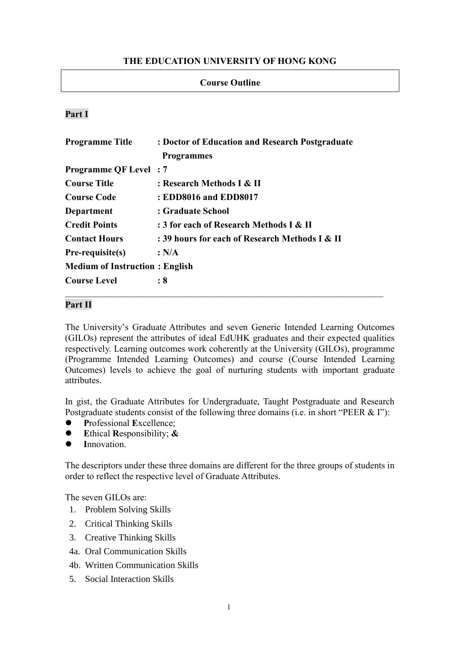## **THE EDUCATION UNIVERSITY OF HONG KONG**

### **Course Outline**

## **Part I**

| <b>Programme Title</b>                | : Doctor of Education and Research Postgraduate |
|---------------------------------------|-------------------------------------------------|
|                                       | <b>Programmes</b>                               |
| <b>Programme QF Level: 7</b>          |                                                 |
| <b>Course Title</b>                   | : Research Methods I & II                       |
| <b>Course Code</b>                    | : EDD8016 and EDD8017                           |
| Department                            | : Graduate School                               |
| <b>Credit Points</b>                  | : 3 for each of Research Methods I & II         |
| <b>Contact Hours</b>                  | : 39 hours for each of Research Methods I & II  |
| Pre-requisite(s)                      | : N/A                                           |
| <b>Medium of Instruction: English</b> |                                                 |
| <b>Course Level</b>                   | $\colon 8$                                      |

## **Part II**

The University's Graduate Attributes and seven Generic Intended Learning Outcomes (GILOs) represent the attributes of ideal EdUHK graduates and their expected qualities respectively. Learning outcomes work coherently at the University (GILOs), programme (Programme Intended Learning Outcomes) and course (Course Intended Learning Outcomes) levels to achieve the goal of nurturing students with important graduate attributes.

In gist, the Graduate Attributes for Undergraduate, Taught Postgraduate and Research Postgraduate students consist of the following three domains (i.e. in short "PEER & I"):

- **P**rofessional **E**xcellence;
- **E**thical **R**esponsibility; **&**
- **I**nnovation.

The descriptors under these three domains are different for the three groups of students in order to reflect the respective level of Graduate Attributes.

The seven GILOs are:

- 1. Problem Solving Skills
- 2. Critical Thinking Skills
- 3. Creative Thinking Skills
- 4a. Oral Communication Skills
- 4b. Written Communication Skills
- 5. Social Interaction Skills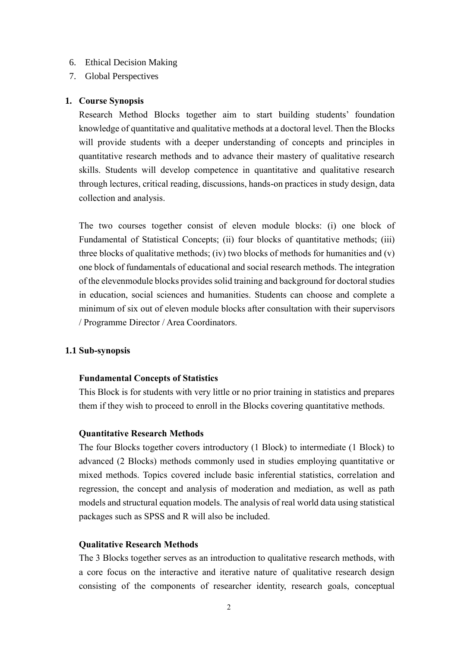#### 6. Ethical Decision Making

7. Global Perspectives

### **1. Course Synopsis**

Research Method Blocks together aim to start building students' foundation knowledge of quantitative and qualitative methods at a doctoral level. Then the Blocks will provide students with a deeper understanding of concepts and principles in quantitative research methods and to advance their mastery of qualitative research skills. Students will develop competence in quantitative and qualitative research through lectures, critical reading, discussions, hands-on practices in study design, data collection and analysis.

The two courses together consist of eleven module blocks: (i) one block of Fundamental of Statistical Concepts; (ii) four blocks of quantitative methods; (iii) three blocks of qualitative methods; (iv) two blocks of methods for humanities and (v) one block of fundamentals of educational and social research methods. The integration of the elevenmodule blocks provides solid training and background for doctoral studies in education, social sciences and humanities. Students can choose and complete a minimum of six out of eleven module blocks after consultation with their supervisors / Programme Director / Area Coordinators.

#### **1.1 Sub-synopsis**

#### **Fundamental Concepts of Statistics**

This Block is for students with very little or no prior training in statistics and prepares them if they wish to proceed to enroll in the Blocks covering quantitative methods.

### **Quantitative Research Methods**

The four Blocks together covers introductory (1 Block) to intermediate (1 Block) to advanced (2 Blocks) methods commonly used in studies employing quantitative or mixed methods. Topics covered include basic inferential statistics, correlation and regression, the concept and analysis of moderation and mediation, as well as path models and structural equation models. The analysis of real world data using statistical packages such as SPSS and R will also be included.

#### **Qualitative Research Methods**

The 3 Blocks together serves as an introduction to qualitative research methods, with a core focus on the interactive and iterative nature of qualitative research design consisting of the components of researcher identity, research goals, conceptual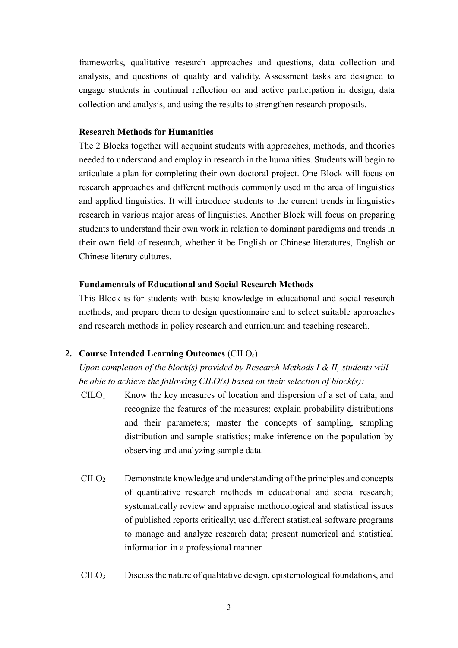frameworks, qualitative research approaches and questions, data collection and analysis, and questions of quality and validity. Assessment tasks are designed to engage students in continual reflection on and active participation in design, data collection and analysis, and using the results to strengthen research proposals.

### **Research Methods for Humanities**

The 2 Blocks together will acquaint students with approaches, methods, and theories needed to understand and employ in research in the humanities. Students will begin to articulate a plan for completing their own doctoral project. One Block will focus on research approaches and different methods commonly used in the area of linguistics and applied linguistics. It will introduce students to the current trends in linguistics research in various major areas of linguistics. Another Block will focus on preparing students to understand their own work in relation to dominant paradigms and trends in their own field of research, whether it be English or Chinese literatures, English or Chinese literary cultures.

## **Fundamentals of Educational and Social Research Methods**

This Block is for students with basic knowledge in educational and social research methods, and prepare them to design questionnaire and to select suitable approaches and research methods in policy research and curriculum and teaching research.

## **2. Course Intended Learning Outcomes** (CILOs)

*Upon completion of the block(s) provided by Research Methods I & II, students will be able to achieve the following CILO(s) based on their selection of block(s):*

- $C I L O<sub>1</sub>$  Know the key measures of location and dispersion of a set of data, and recognize the features of the measures; explain probability distributions and their parameters; master the concepts of sampling, sampling distribution and sample statistics; make inference on the population by observing and analyzing sample data.
- CILO<sup>2</sup> Demonstrate knowledge and understanding of the principles and concepts of quantitative research methods in educational and social research; systematically review and appraise methodological and statistical issues of published reports critically; use different statistical software programs to manage and analyze research data; present numerical and statistical information in a professional manner.
- $\text{CILO}_3$  Discuss the nature of qualitative design, epistemological foundations, and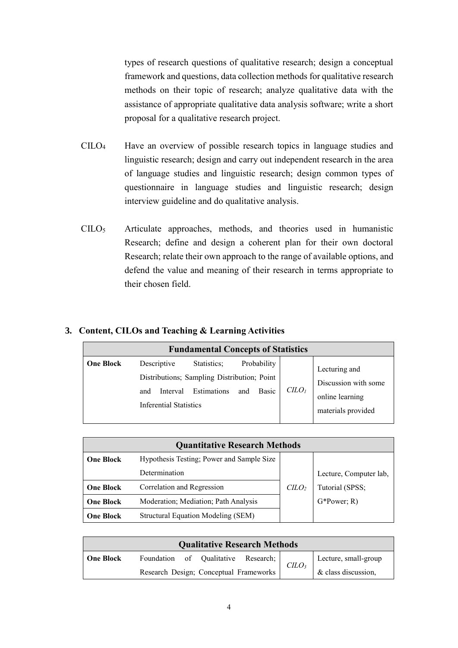types of research questions of qualitative research; design a conceptual framework and questions, data collection methods for qualitative research methods on their topic of research; analyze qualitative data with the assistance of appropriate qualitative data analysis software; write a short proposal for a qualitative research project.

- CILO<sup>4</sup> Have an overview of possible research topics in language studies and linguistic research; design and carry out independent research in the area of language studies and linguistic research; design common types of questionnaire in language studies and linguistic research; design interview guideline and do qualitative analysis.
- CILO<sup>5</sup> Articulate approaches, methods, and theories used in humanistic Research; define and design a coherent plan for their own doctoral Research; relate their own approach to the range of available options, and defend the value and meaning of their research in terms appropriate to their chosen field.

### **3. Content, CILOs and Teaching & Learning Activities**

| <b>Fundamental Concepts of Statistics</b> |                                                |                             |                                       |  |  |
|-------------------------------------------|------------------------------------------------|-----------------------------|---------------------------------------|--|--|
| <b>One Block</b>                          | Descriptive<br>Statistics;<br>Probability      |                             | Lecturing and<br>Discussion with some |  |  |
|                                           | Distributions; Sampling Distribution; Point    |                             |                                       |  |  |
|                                           | Basic<br>Estimations<br>Interval<br>and<br>and | C <sub>LO<sub>l</sub></sub> | online learning                       |  |  |
|                                           | Inferential Statistics                         |                             | materials provided                    |  |  |

| <b>Quantitative Research Methods</b> |                                           |        |                        |  |
|--------------------------------------|-------------------------------------------|--------|------------------------|--|
| <b>One Block</b>                     | Hypothesis Testing; Power and Sample Size |        |                        |  |
|                                      | Determination                             |        | Lecture, Computer lab, |  |
| <b>One Block</b>                     | Correlation and Regression                | $C LO$ | Tutorial (SPSS;        |  |
| <b>One Block</b>                     | Moderation; Mediation; Path Analysis      |        | $G^*Power$ ; R)        |  |
| <b>One Block</b>                     | Structural Equation Modeling (SEM)        |        |                        |  |

| <b>Qualitative Research Methods</b> |                                        |  |  |                             |                      |
|-------------------------------------|----------------------------------------|--|--|-----------------------------|----------------------|
| <b>One Block</b>                    | Foundation of Qualitative Research;    |  |  | C <sub>LO<sub>3</sub></sub> | Lecture, small-group |
|                                     | Research Design; Conceptual Frameworks |  |  | & class discussion,         |                      |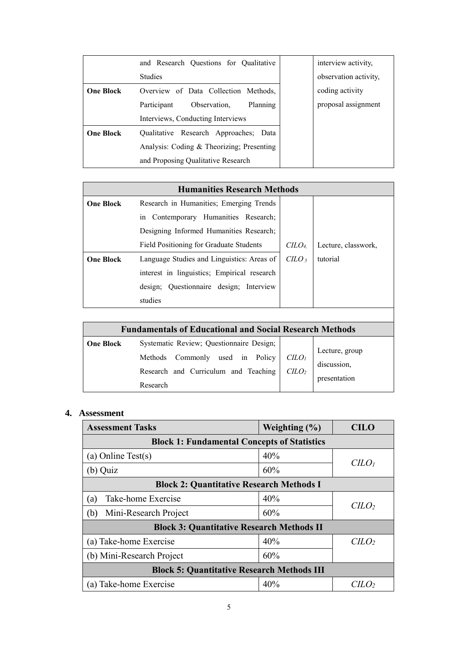|                  | and Research Questions for Qualitative    | interview activity,   |
|------------------|-------------------------------------------|-----------------------|
|                  | <b>Studies</b>                            | observation activity, |
| <b>One Block</b> | Overview of Data Collection Methods,      | coding activity       |
|                  | Observation,<br>Planning<br>Participant   | proposal assignment   |
|                  | Interviews, Conducting Interviews         |                       |
| <b>One Block</b> | Qualitative Research Approaches; Data     |                       |
|                  | Analysis: Coding & Theorizing; Presenting |                       |
|                  | and Proposing Qualitative Research        |                       |

| <b>Humanities Research Methods</b> |                                             |                          |                     |  |  |
|------------------------------------|---------------------------------------------|--------------------------|---------------------|--|--|
| <b>One Block</b>                   | Research in Humanities; Emerging Trends     |                          |                     |  |  |
|                                    | in Contemporary Humanities Research;        |                          |                     |  |  |
|                                    | Designing Informed Humanities Research;     |                          |                     |  |  |
|                                    | Field Positioning for Graduate Students     | $C$                      | Lecture, classwork, |  |  |
| <b>One Block</b>                   | Language Studies and Linguistics: Areas of  | C </th <th>tutorial</th> | tutorial            |  |  |
|                                    | interest in linguistics; Empirical research |                          |                     |  |  |
|                                    | design; Questionnaire design; Interview     |                          |                     |  |  |
|                                    | studies                                     |                          |                     |  |  |
|                                    |                                             |                          |                     |  |  |

| <b>Fundamentals of Educational and Social Research Methods</b> |                                                                                                                                 |                                                |                                               |  |
|----------------------------------------------------------------|---------------------------------------------------------------------------------------------------------------------------------|------------------------------------------------|-----------------------------------------------|--|
| <b>One Block</b>                                               | Systematic Review; Questionnaire Design;<br>Methods Commonly used in Policy<br>Research and Curriculum and Teaching<br>Research | C <sub>LO<sub>1</sub></sub><br>C <sub>LO</sub> | Lecture, group<br>discussion,<br>presentation |  |

# **4. Assessment**

| <b>Assessment Tasks</b>                            | Weighting $(\% )$ | <b>CILO</b>                 |  |
|----------------------------------------------------|-------------------|-----------------------------|--|
| <b>Block 1: Fundamental Concepts of Statistics</b> |                   |                             |  |
| (a) Online Test(s)                                 | 40%               | C <sub>LO<sub>l</sub></sub> |  |
| $(b)$ Quiz                                         | 60%               |                             |  |
| <b>Block 2: Quantitative Research Methods I</b>    |                   |                             |  |
| Take-home Exercise<br>(a)                          | 40%               |                             |  |
| Mini-Research Project<br>(b)                       | 60%               | $C LO$                      |  |
| <b>Block 3: Quantitative Research Methods II</b>   |                   |                             |  |
| (a) Take-home Exercise                             | 40%               | C <sub>LO</sub>             |  |
| (b) Mini-Research Project                          | 60%               |                             |  |
| <b>Block 5: Quantitative Research Methods III</b>  |                   |                             |  |
| (a) Take-home Exercise                             | 40%               |                             |  |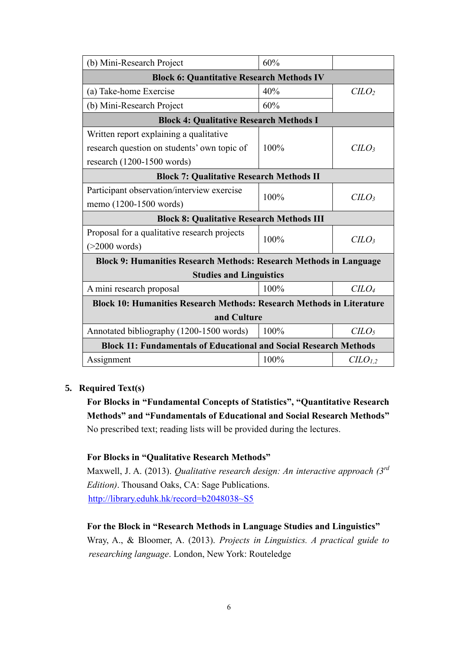| (b) Mini-Research Project                                                    | 60%  |                             |  |
|------------------------------------------------------------------------------|------|-----------------------------|--|
| <b>Block 6: Quantitative Research Methods IV</b>                             |      |                             |  |
| (a) Take-home Exercise                                                       | 40%  | $C$                         |  |
| (b) Mini-Research Project                                                    | 60%  |                             |  |
| <b>Block 4: Qualitative Research Methods I</b>                               |      |                             |  |
| Written report explaining a qualitative                                      |      |                             |  |
| research question on students' own topic of                                  | 100% | C <sub>LO</sub>             |  |
| research (1200-1500 words)                                                   |      |                             |  |
| <b>Block 7: Qualitative Research Methods II</b>                              |      |                             |  |
| Participant observation/interview exercise                                   | 100% |                             |  |
| memo (1200-1500 words)                                                       |      | C <sub>LO<sub>3</sub></sub> |  |
| <b>Block 8: Qualitative Research Methods III</b>                             |      |                             |  |
| Proposal for a qualitative research projects                                 | 100% | C <sub>LO<sub>3</sub></sub> |  |
| $($ >2000 words)                                                             |      |                             |  |
| <b>Block 9: Humanities Research Methods: Research Methods in Language</b>    |      |                             |  |
| <b>Studies and Linguistics</b>                                               |      |                             |  |
| A mini research proposal                                                     | 100% | C <sub>LO</sub>             |  |
| <b>Block 10: Humanities Research Methods: Research Methods in Literature</b> |      |                             |  |
| and Culture                                                                  |      |                             |  |
| Annotated bibliography (1200-1500 words)                                     | 100% | C <sub>LO</sub>             |  |
| <b>Block 11: Fundamentals of Educational and Social Research Methods</b>     |      |                             |  |
| Assignment                                                                   | 100% | $CLO_{1,2}$                 |  |

# **5. Required Text(s)**

**For Blocks in "Fundamental Concepts of Statistics", "Quantitative Research Methods" and "Fundamentals of Educational and Social Research Methods"** No prescribed text; reading lists will be provided during the lectures.

## **For Blocks in "Qualitative Research Methods"**

Maxwell, J. A. (2013). *Qualitative research design: An interactive approach (3rd Edition)*. Thousand Oaks, CA: Sage Publications. <http://library.eduhk.hk/record=b2048038~S5>

## **For the Block in "Research Methods in Language Studies and Linguistics"**

Wray, A., & Bloomer, A. (2013). *Projects in Linguistics. A practical guide to researching language*. London, New York: Routeledge